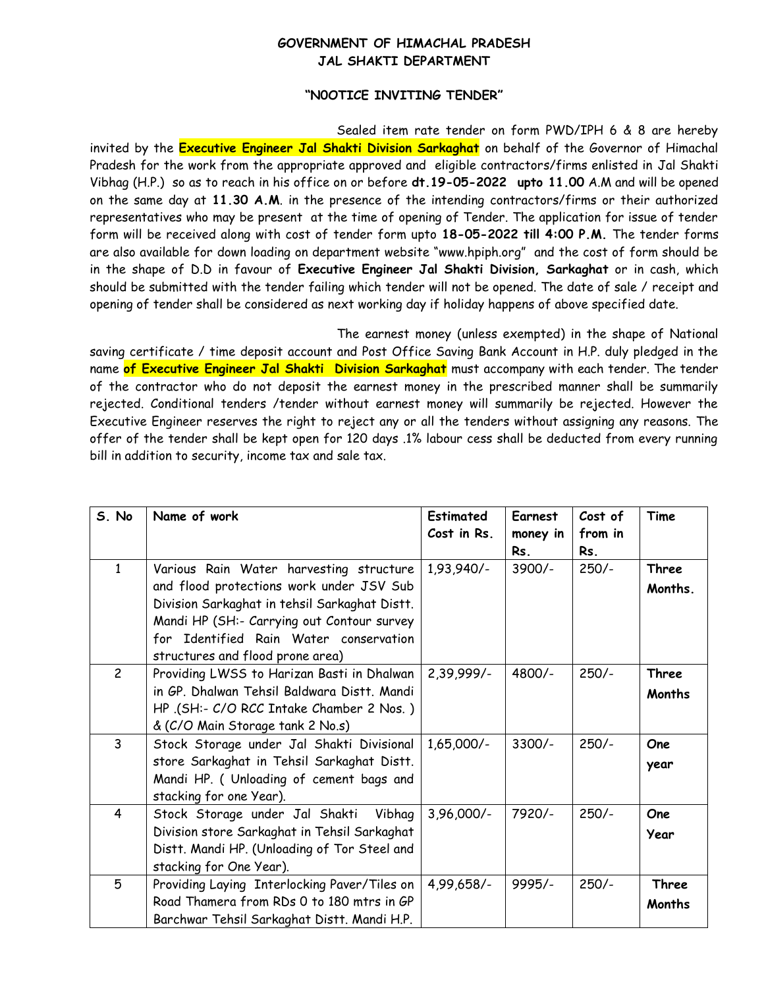## **GOVERNMENT OF HIMACHAL PRADESH JAL SHAKTI DEPARTMENT**

## **"N0OTICE INVITING TENDER"**

Sealed item rate tender on form PWD/IPH 6 & 8 are hereby invited by the **Executive Engineer Jal Shakti Division Sarkaghat** on behalf of the Governor of Himachal Pradesh for the work from the appropriate approved and eligible contractors/firms enlisted in Jal Shakti Vibhag (H.P.) so as to reach in his office on or before **dt.19-05-2022 upto 11.00** A.M and will be opened on the same day at **11.30 A.M**. in the presence of the intending contractors/firms or their authorized representatives who may be present at the time of opening of Tender. The application for issue of tender form will be received along with cost of tender form upto **18-05-2022 till 4:00 P.M.** The tender forms are also available for down loading on department website "www.hpiph.org" and the cost of form should be in the shape of D.D in favour of **Executive Engineer Jal Shakti Division, Sarkaghat** or in cash, which should be submitted with the tender failing which tender will not be opened. The date of sale / receipt and opening of tender shall be considered as next working day if holiday happens of above specified date.

The earnest money (unless exempted) in the shape of National saving certificate / time deposit account and Post Office Saving Bank Account in H.P. duly pledged in the name **of Executive Engineer Jal Shakti Division Sarkaghat** must accompany with each tender. The tender of the contractor who do not deposit the earnest money in the prescribed manner shall be summarily rejected. Conditional tenders /tender without earnest money will summarily be rejected. However the Executive Engineer reserves the right to reject any or all the tenders without assigning any reasons. The offer of the tender shall be kept open for 120 days .1% labour cess shall be deducted from every running bill in addition to security, income tax and sale tax.

| S. No          | Name of work                                                                                                                                                                                                                                                     | <b>Estimated</b><br>Cost in Rs. | Earnest<br>money in<br>Rs. | Cost of<br>from in<br>Rs. | Time                   |
|----------------|------------------------------------------------------------------------------------------------------------------------------------------------------------------------------------------------------------------------------------------------------------------|---------------------------------|----------------------------|---------------------------|------------------------|
| $\mathbf{1}$   | Various Rain Water harvesting structure<br>and flood protections work under JSV Sub<br>Division Sarkaghat in tehsil Sarkaghat Distt.<br>Mandi HP (SH:- Carrying out Contour survey<br>for Identified Rain Water conservation<br>structures and flood prone area) | 1,93,940/-                      | $3900/-$                   | $250/-$                   | Three<br>Months.       |
| $\overline{c}$ | Providing LWSS to Harizan Basti in Dhalwan<br>in GP. Dhalwan Tehsil Baldwara Distt. Mandi<br>HP (SH:- C/O RCC Intake Chamber 2 Nos.)<br>& (C/O Main Storage tank 2 No.s)                                                                                         | 2,39,999/-                      | 4800/-                     | $250/-$                   | <b>Three</b><br>Months |
| $\overline{3}$ | Stock Storage under Jal Shakti Divisional<br>store Sarkaghat in Tehsil Sarkaghat Distt.<br>Mandi HP. ( Unloading of cement bags and<br>stacking for one Year).                                                                                                   | 1,65,000/-                      | $3300/-$                   | $250/-$                   | One<br>year            |
| $\overline{4}$ | Stock Storage under Jal Shakti Vibhag<br>Division store Sarkaghat in Tehsil Sarkaghat<br>Distt. Mandi HP. (Unloading of Tor Steel and<br>stacking for One Year).                                                                                                 | $3,96,000/-$                    | 7920/-                     | $250/-$                   | <b>One</b><br>Year     |
| 5              | Providing Laying Interlocking Paver/Tiles on<br>Road Thamera from RDs 0 to 180 mtrs in GP<br>Barchwar Tehsil Sarkaghat Distt. Mandi H.P.                                                                                                                         | 4,99,658/-                      | 9995/-                     | $250/-$                   | <b>Three</b><br>Months |